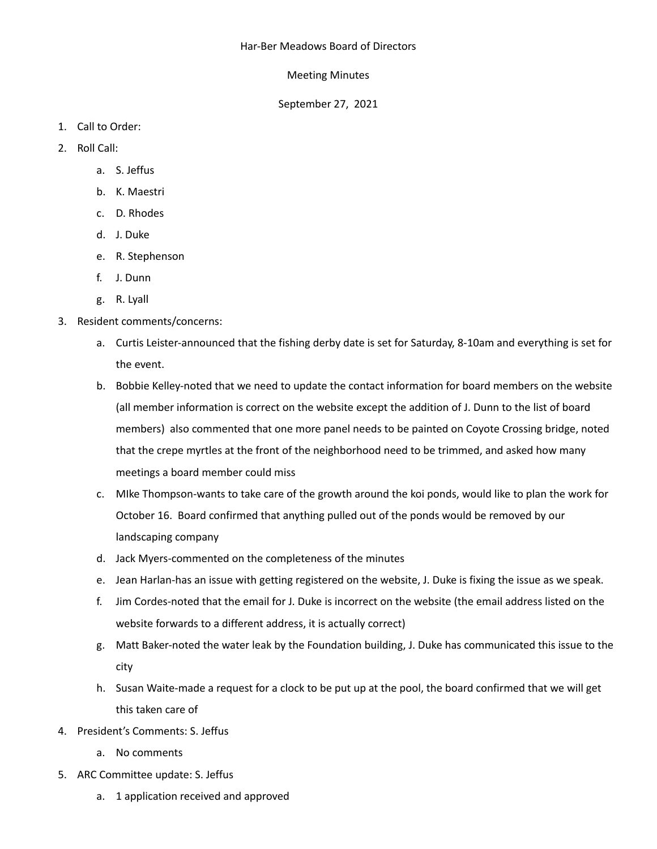## Meeting Minutes

## September 27, 2021

- 1. Call to Order:
- 2. Roll Call:
	- a. S. Jeffus
	- b. K. Maestri
	- c. D. Rhodes
	- d. J. Duke
	- e. R. Stephenson
	- f. J. Dunn
	- g. R. Lyall

## 3. Resident comments/concerns:

- a. Curtis Leister-announced that the fishing derby date is set for Saturday, 8-10am and everything is set for the event.
- b. Bobbie Kelley-noted that we need to update the contact information for board members on the website (all member information is correct on the website except the addition of J. Dunn to the list of board members) also commented that one more panel needs to be painted on Coyote Crossing bridge, noted that the crepe myrtles at the front of the neighborhood need to be trimmed, and asked how many meetings a board member could miss
- c. MIke Thompson-wants to take care of the growth around the koi ponds, would like to plan the work for October 16. Board confirmed that anything pulled out of the ponds would be removed by our landscaping company
- d. Jack Myers-commented on the completeness of the minutes
- e. Jean Harlan-has an issue with getting registered on the website, J. Duke is fixing the issue as we speak.
- f. Jim Cordes-noted that the email for J. Duke is incorrect on the website (the email address listed on the website forwards to a different address, it is actually correct)
- g. Matt Baker-noted the water leak by the Foundation building, J. Duke has communicated this issue to the city
- h. Susan Waite-made a request for a clock to be put up at the pool, the board confirmed that we will get this taken care of
- 4. President's Comments: S. Jeffus
	- a. No comments
- 5. ARC Committee update: S. Jeffus
	- a. 1 application received and approved